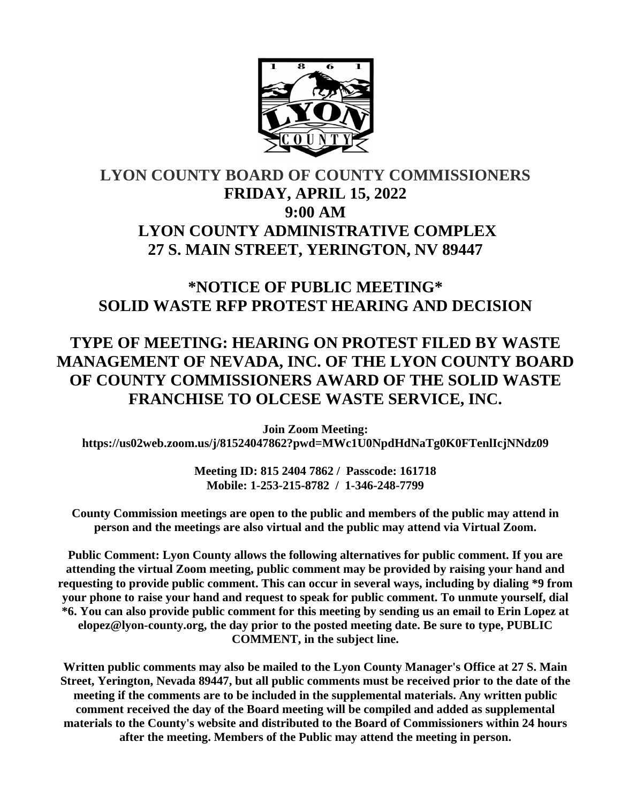

# **LYON COUNTY BOARD OF COUNTY COMMISSIONERS FRIDAY, APRIL 15, 2022 9:00 AM LYON COUNTY ADMINISTRATIVE COMPLEX 27 S. MAIN STREET, YERINGTON, NV 89447**

## **\*NOTICE OF PUBLIC MEETING\* SOLID WASTE RFP PROTEST HEARING AND DECISION**

# **TYPE OF MEETING: HEARING ON PROTEST FILED BY WASTE MANAGEMENT OF NEVADA, INC. OF THE LYON COUNTY BOARD OF COUNTY COMMISSIONERS AWARD OF THE SOLID WASTE FRANCHISE TO OLCESE WASTE SERVICE, INC.**

**Join Zoom Meeting: https://us02web.zoom.us/j/81524047862?pwd=MWc1U0NpdHdNaTg0K0FTenlIcjNNdz09**

> **Meeting ID: 815 2404 7862 / Passcode: 161718 Mobile: 1-253-215-8782 / 1-346-248-7799**

**County Commission meetings are open to the public and members of the public may attend in person and the meetings are also virtual and the public may attend via Virtual Zoom.**

**Public Comment: Lyon County allows the following alternatives for public comment. If you are attending the virtual Zoom meeting, public comment may be provided by raising your hand and requesting to provide public comment. This can occur in several ways, including by dialing \*9 from your phone to raise your hand and request to speak for public comment. To unmute yourself, dial \*6. You can also provide public comment for this meeting by sending us an email to Erin Lopez at elopez@lyon-county.org, the day prior to the posted meeting date. Be sure to type, PUBLIC COMMENT, in the subject line.**

**Written public comments may also be mailed to the Lyon County Manager's Office at 27 S. Main Street, Yerington, Nevada 89447, but all public comments must be received prior to the date of the meeting if the comments are to be included in the supplemental materials. Any written public comment received the day of the Board meeting will be compiled and added as supplemental materials to the County's website and distributed to the Board of Commissioners within 24 hours after the meeting. Members of the Public may attend the meeting in person.**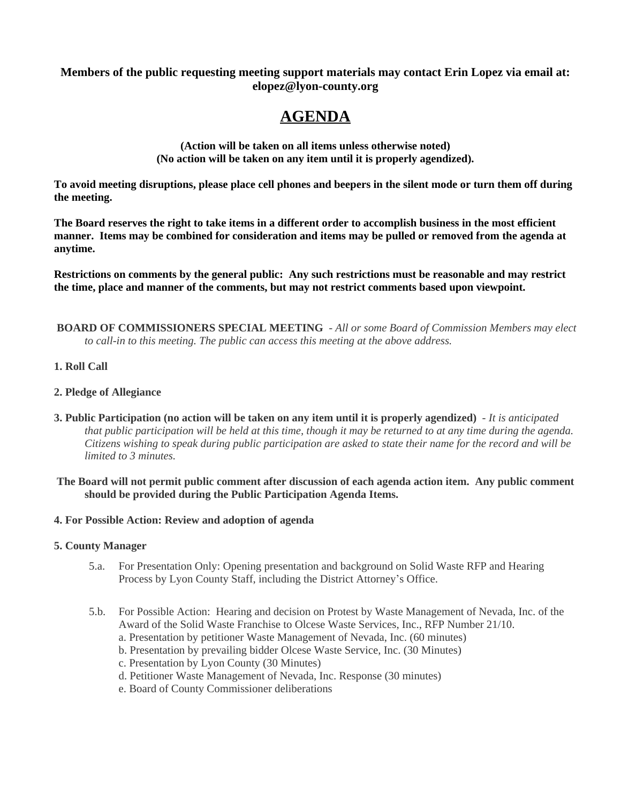### **Members of the public requesting meeting support materials may contact Erin Lopez via email at: elopez@lyon-county.org**

## **AGENDA**

**(Action will be taken on all items unless otherwise noted) (No action will be taken on any item until it is properly agendized).**

**To avoid meeting disruptions, please place cell phones and beepers in the silent mode or turn them off during the meeting.**

**The Board reserves the right to take items in a different order to accomplish business in the most efficient manner. Items may be combined for consideration and items may be pulled or removed from the agenda at anytime.**

**Restrictions on comments by the general public: Any such restrictions must be reasonable and may restrict the time, place and manner of the comments, but may not restrict comments based upon viewpoint.**

 **BOARD OF COMMISSIONERS SPECIAL MEETING** - *All or some Board of Commission Members may elect to call-in to this meeting. The public can access this meeting at the above address.*

### **1. Roll Call**

### **2. Pledge of Allegiance**

- **3. Public Participation (no action will be taken on any item until it is properly agendized)** *It is anticipated that public participation will be held at this time, though it may be returned to at any time during the agenda. Citizens wishing to speak during public participation are asked to state their name for the record and will be limited to 3 minutes.*
- **The Board will not permit public comment after discussion of each agenda action item. Any public comment should be provided during the Public Participation Agenda Items.**

#### **4. For Possible Action: Review and adoption of agenda**

#### **5. County Manager**

- 5.a. For Presentation Only: Opening presentation and background on Solid Waste RFP and Hearing Process by Lyon County Staff, including the District Attorney's Office.
- 5.b. For Possible Action: Hearing and decision on Protest by Waste Management of Nevada, Inc. of the Award of the Solid Waste Franchise to Olcese Waste Services, Inc., RFP Number 21/10.
	- a. Presentation by petitioner Waste Management of Nevada, Inc. (60 minutes)
	- b. Presentation by prevailing bidder Olcese Waste Service, Inc. (30 Minutes)
	- c. Presentation by Lyon County (30 Minutes)
	- d. Petitioner Waste Management of Nevada, Inc. Response (30 minutes)
	- e. Board of County Commissioner deliberations